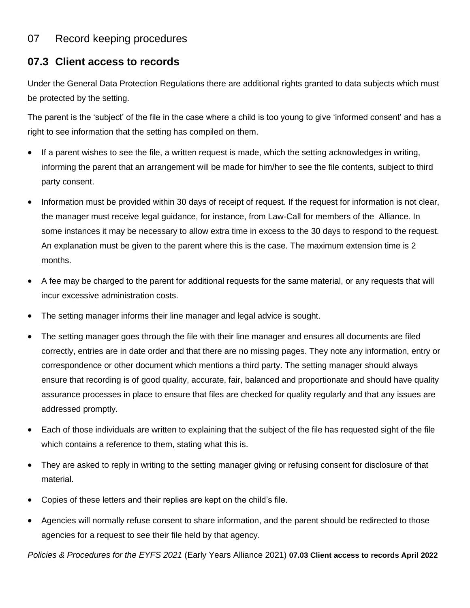## 07 Record keeping procedures

## **07.3 Client access to records**

Under the General Data Protection Regulations there are additional rights granted to data subjects which must be protected by the setting.

The parent is the 'subject' of the file in the case where a child is too young to give 'informed consent' and has a right to see information that the setting has compiled on them.

- If a parent wishes to see the file, a written request is made, which the setting acknowledges in writing, informing the parent that an arrangement will be made for him/her to see the file contents, subject to third party consent.
- Information must be provided within 30 days of receipt of request. If the request for information is not clear, the manager must receive legal guidance, for instance, from Law-Call for members of the Alliance. In some instances it may be necessary to allow extra time in excess to the 30 days to respond to the request. An explanation must be given to the parent where this is the case. The maximum extension time is 2 months.
- A fee may be charged to the parent for additional requests for the same material, or any requests that will incur excessive administration costs.
- The setting manager informs their line manager and legal advice is sought.
- The setting manager goes through the file with their line manager and ensures all documents are filed correctly, entries are in date order and that there are no missing pages. They note any information, entry or correspondence or other document which mentions a third party. The setting manager should always ensure that recording is of good quality, accurate, fair, balanced and proportionate and should have quality assurance processes in place to ensure that files are checked for quality regularly and that any issues are addressed promptly.
- Each of those individuals are written to explaining that the subject of the file has requested sight of the file which contains a reference to them, stating what this is.
- They are asked to reply in writing to the setting manager giving or refusing consent for disclosure of that material.
- Copies of these letters and their replies are kept on the child's file.
- Agencies will normally refuse consent to share information, and the parent should be redirected to those agencies for a request to see their file held by that agency.

*Policies & Procedures for the EYFS 2021* (Early Years Alliance 2021) **07.03 Client access to records April 2022**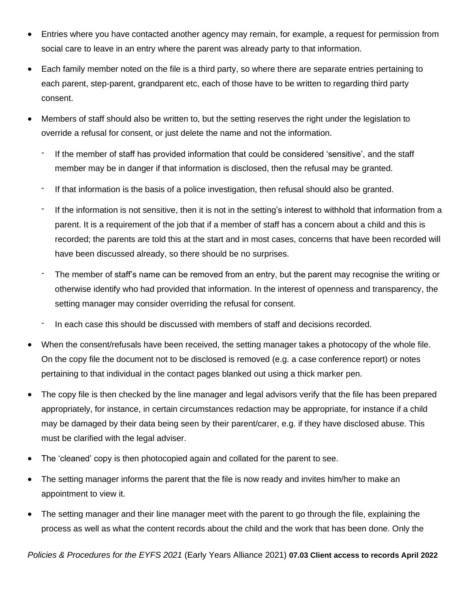- Entries where you have contacted another agency may remain, for example, a request for permission from social care to leave in an entry where the parent was already party to that information.
- Each family member noted on the file is a third party, so where there are separate entries pertaining to each parent, step-parent, grandparent etc, each of those have to be written to regarding third party consent.
- Members of staff should also be written to, but the setting reserves the right under the legislation to override a refusal for consent, or just delete the name and not the information.
	- If the member of staff has provided information that could be considered 'sensitive', and the staff member may be in danger if that information is disclosed, then the refusal may be granted.
	- If that information is the basis of a police investigation, then refusal should also be granted.
	- If the information is not sensitive, then it is not in the setting's interest to withhold that information from a parent. It is a requirement of the job that if a member of staff has a concern about a child and this is recorded; the parents are told this at the start and in most cases, concerns that have been recorded will have been discussed already, so there should be no surprises.
	- The member of staff's name can be removed from an entry, but the parent may recognise the writing or otherwise identify who had provided that information. In the interest of openness and transparency, the setting manager may consider overriding the refusal for consent.
	- In each case this should be discussed with members of staff and decisions recorded.
- When the consent/refusals have been received, the setting manager takes a photocopy of the whole file. On the copy file the document not to be disclosed is removed (e.g. a case conference report) or notes pertaining to that individual in the contact pages blanked out using a thick marker pen.
- The copy file is then checked by the line manager and legal advisors verify that the file has been prepared appropriately, for instance, in certain circumstances redaction may be appropriate, for instance if a child may be damaged by their data being seen by their parent/carer, e.g. if they have disclosed abuse. This must be clarified with the legal adviser.
- The 'cleaned' copy is then photocopied again and collated for the parent to see.
- The setting manager informs the parent that the file is now ready and invites him/her to make an appointment to view it.
- The setting manager and their line manager meet with the parent to go through the file, explaining the process as well as what the content records about the child and the work that has been done. Only the

*Policies & Procedures for the EYFS 2021* (Early Years Alliance 2021) **07.03 Client access to records April 2022**